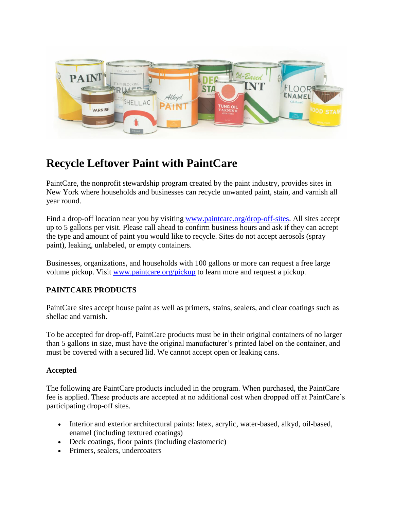

# **Recycle Leftover Paint with PaintCare**

PaintCare, the nonprofit stewardship program created by the paint industry, provides sites in New York where households and businesses can recycle unwanted paint, stain, and varnish all year round.

Find a drop-off location near you by visiting [www.paintcare.org/drop-off-sites.](http://www.paintcare.org/drop-off-sites) All sites accept up to 5 gallons per visit. Please call ahead to confirm business hours and ask if they can accept the type and amount of paint you would like to recycle. Sites do not accept aerosols (spray paint), leaking, unlabeled, or empty containers.

Businesses, organizations, and households with 100 gallons or more can request a free large volume pickup. Visit [www.paintcare.org/pickup](http://www.paintcare.org/pickup) to learn more and request a pickup.

## **PAINTCARE PRODUCTS**

PaintCare sites accept house paint as well as primers, stains, sealers, and clear coatings such as shellac and varnish.

To be accepted for drop-off, PaintCare products must be in their original containers of no larger than 5 gallons in size, must have the original manufacturer's printed label on the container, and must be covered with a secured lid. We cannot accept open or leaking cans.

## **Accepted**

The following are PaintCare products included in the program. When purchased, the PaintCare fee is applied. These products are accepted at no additional cost when dropped off at PaintCare's participating drop-off sites.

- Interior and exterior architectural paints: latex, acrylic, water-based, alkyd, oil-based, enamel (including textured coatings)
- Deck coatings, floor paints (including elastomeric)
- Primers, sealers, undercoaters